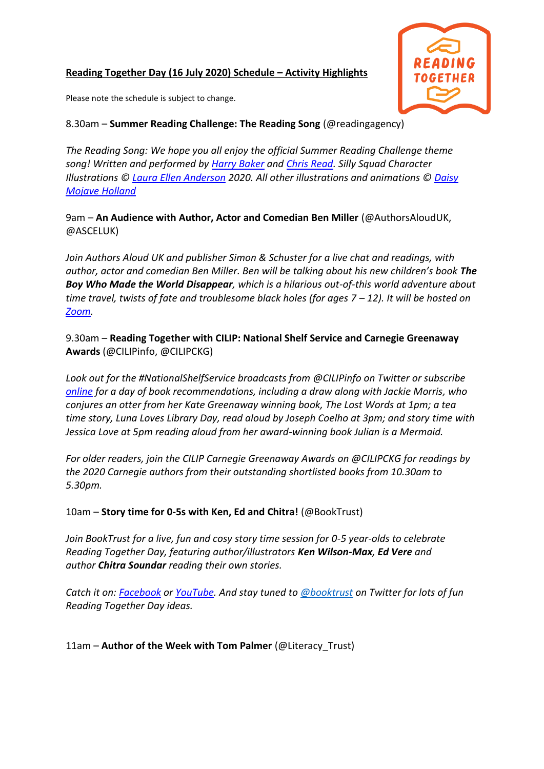### **Reading Together Day (16 July 2020) Schedule – Activity Highlights**



Please note the schedule is subject to change.

# 8.30am – **Summer Reading Challenge: The Reading Song** (@readingagency)

*The Reading Song: We hope you all enjoy the official Summer Reading Challenge theme song! Written and performed by [Harry Baker](https://www.harrybaker.co/) and [Chris Read.](https://www.chrisreadmusic.com/) Silly Squad Character Illustrations © [Laura Ellen Anderson](http://www.lauraellenanderson.co.uk/) 2020. All other illustrations and animations © [Daisy](https://www.daisymojaveholland.com/)  [Mojave Holland](https://www.daisymojaveholland.com/)*

9am – **An Audience with Author, Actor and Comedian Ben Miller** (@AuthorsAloudUK, @ASCELUK)

*Join Authors Aloud UK and publisher Simon & Schuster for a live chat and readings, with author, actor and comedian Ben Miller. Ben will be talking about his new children's book The Boy Who Made the World Disappear, which is a hilarious out-of-this world adventure about time travel, twists of fate and troublesome black holes (for ages 7 – 12). It will be hosted on [Zoom.](https://tinyurl.com/ycuvh2r9)*

9.30am – **Reading Together with CILIP: National Shelf Service and Carnegie Greenaway Awards** (@CILIPinfo, @CILIPCKG)

*Look out for the #NationalShelfService broadcasts from @CILIPinfo on Twitter or subscribe [online](http://cilip.org.uk/nationalshelfservice) for a day of book recommendations, including a draw along with Jackie Morris, who conjures an otter from her Kate Greenaway winning book, The Lost Words at 1pm; a tea time story, Luna Loves Library Day, read aloud by Joseph Coelho at 3pm; and story time with Jessica Love at 5pm reading aloud from her award-winning book Julian is a Mermaid.*

*For older readers, join the CILIP Carnegie Greenaway Awards on @CILIPCKG for readings by the 2020 Carnegie authors from their outstanding shortlisted books from 10.30am to 5.30pm.*

10am – **Story time for 0-5s with Ken, Ed and Chitra!** (@BookTrust)

*Join BookTrust for a live, fun and cosy story time session for 0-5 year-olds to celebrate Reading Together Day, featuring author/illustrators Ken Wilson-Max, Ed Vere and author Chitra Soundar reading their own stories.*

*Catch it on: [Facebook](https://www.facebook.com/booktrust/) or [YouTube.](https://www.youtube.com/c/booktrust) And stay tuned to [@booktrust](https://twitter.com/Booktrust) on Twitter for lots of fun Reading Together Day ideas.*

11am – **Author of the Week with Tom Palmer** (@Literacy\_Trust)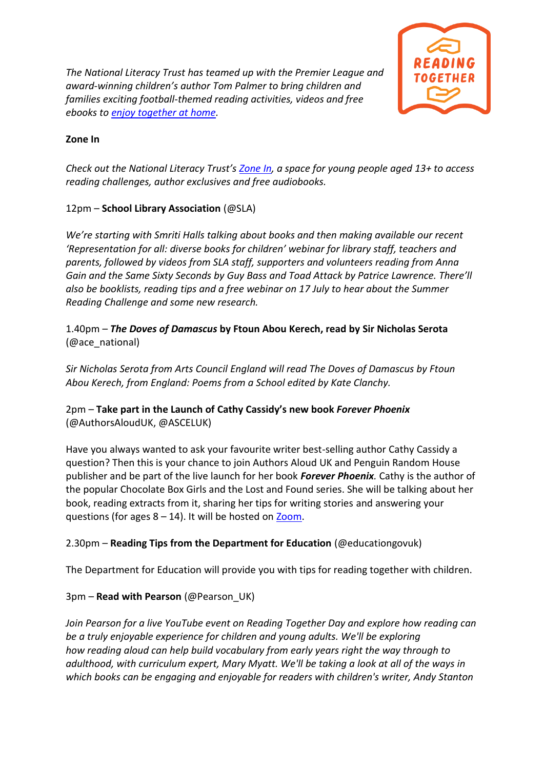*The National Literacy Trust has teamed up with the Premier League and award-winning children's author Tom Palmer to bring children and families exciting football-themed reading activities, videos and free ebooks to [enjoy together at home.](https://literacytrust.org.uk/family-zone/)*



#### **Zone In**

*Check out the National Literacy Trust's [Zone In,](https://literacytrust.org.uk/family-zone/zone-in/) a space for young people aged 13+ to access reading challenges, author exclusives and free audiobooks.*

# 12pm – **School Library Association** (@SLA)

*We're starting with Smriti Halls talking about books and then making available our recent 'Representation for all: diverse books for children' webinar for library staff, teachers and parents, followed by videos from SLA staff, supporters and volunteers reading from Anna Gain and the Same Sixty Seconds by Guy Bass and Toad Attack by Patrice Lawrence. There'll also be booklists, reading tips and a free webinar on 17 July to hear about the Summer Reading Challenge and some new research.*

### 1.40pm – *The Doves of Damascus* **by Ftoun Abou Kerech, read by Sir Nicholas Serota** (@ace\_national)

*Sir Nicholas Serota from Arts Council England will read The Doves of Damascus by Ftoun Abou Kerech, from England: Poems from a School edited by Kate Clanchy.*

# 2pm – **Take part in the Launch of Cathy Cassidy's new book** *Forever Phoenix* (@AuthorsAloudUK, @ASCELUK)

Have you always wanted to ask your favourite writer best-selling author Cathy Cassidy a question? Then this is your chance to join Authors Aloud UK and Penguin Random House publisher and be part of the live launch for her book *Forever Phoenix.* Cathy is the author of the popular Chocolate Box Girls and the Lost and Found series. She will be talking about her book, reading extracts from it, sharing her tips for writing stories and answering your questions (for ages  $8 - 14$ ). It will be hosted on [Zoom.](https://tinyurl.com/y9lyod8k)

# 2.30pm – **Reading Tips from the Department for Education** (@educationgovuk)

The Department for Education will provide you with tips for reading together with children.

# 3pm – **Read with Pearson** (@Pearson\_UK)

*Join Pearson for a live YouTube event on Reading Together Day and explore how reading can be a truly enjoyable experience for children and young adults. We'll be exploring how reading aloud can help build vocabulary from early years right the way through to adulthood, with curriculum expert, Mary Myatt. We'll be taking a look at all of the ways in which books can be engaging and enjoyable for readers with children's writer, Andy Stanton*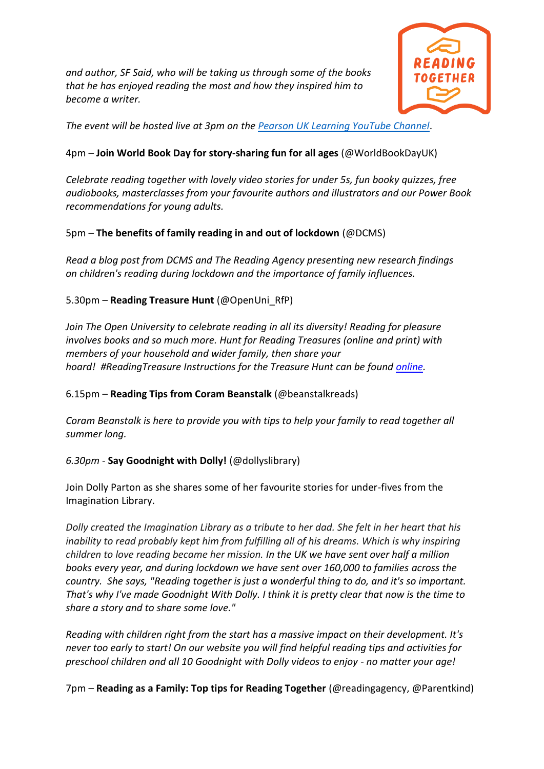*and author, SF Said, who will be taking us through some of the books that he has enjoyed reading the most and how they inspired him to become a writer.*



*The event will be hosted live at 3pm on the [Pearson UK Learning YouTube Channel](https://www.youtube.com/user/PearsonPrimary)*.

### 4pm – **Join World Book Day for story-sharing fun for all ages** (@WorldBookDayUK)

*Celebrate reading together with lovely video stories for under 5s, fun booky quizzes, free audiobooks, masterclasses from your favourite authors and illustrators and our Power Book recommendations for young adults.*

### 5pm – **The benefits of family reading in and out of lockdown** (@DCMS)

*Read a blog post from DCMS and The Reading Agency presenting new research findings on children's reading during lockdown and the importance of family influences.*

### 5.30pm – **Reading Treasure Hunt** (@OpenUni\_RfP)

*Join The Open University to celebrate reading in all its diversity! Reading for pleasure involves books and so much more. Hunt for Reading Treasures (online and print) with members of your household and wider family, then share your hoard! #ReadingTreasure Instructions for the Treasure Hunt can be found [online.](https://bit.ly/RfPHome)* 

6.15pm – **Reading Tips from Coram Beanstalk** (@beanstalkreads)

*Coram Beanstalk is here to provide you with tips to help your family to read together all summer long.* 

# *6.30pm -* **Say Goodnight with Dolly!** (@dollyslibrary)

Join Dolly Parton as she shares some of her favourite stories for under-fives from the Imagination Library.

*Dolly created the Imagination Library as a tribute to her dad. She felt in her heart that his inability to read probably kept him from fulfilling all of his dreams. Which is why inspiring children to love reading became her mission. In the UK we have sent over half a million books every year, and during lockdown we have sent over 160,000 to families across the country. She says, "Reading together is just a wonderful thing to do, and it's so important. That's why I've made Goodnight With Dolly. I think it is pretty clear that now is the time to share a story and to share some love."*

*Reading with children right from the start has a massive impact on their development. It's never too early to start! On our website you will find helpful reading tips and activities for preschool children and all 10 Goodnight with Dolly videos to enjoy - no matter your age!*

7pm – **Reading as a Family: Top tips for Reading Together** (@readingagency, @Parentkind)